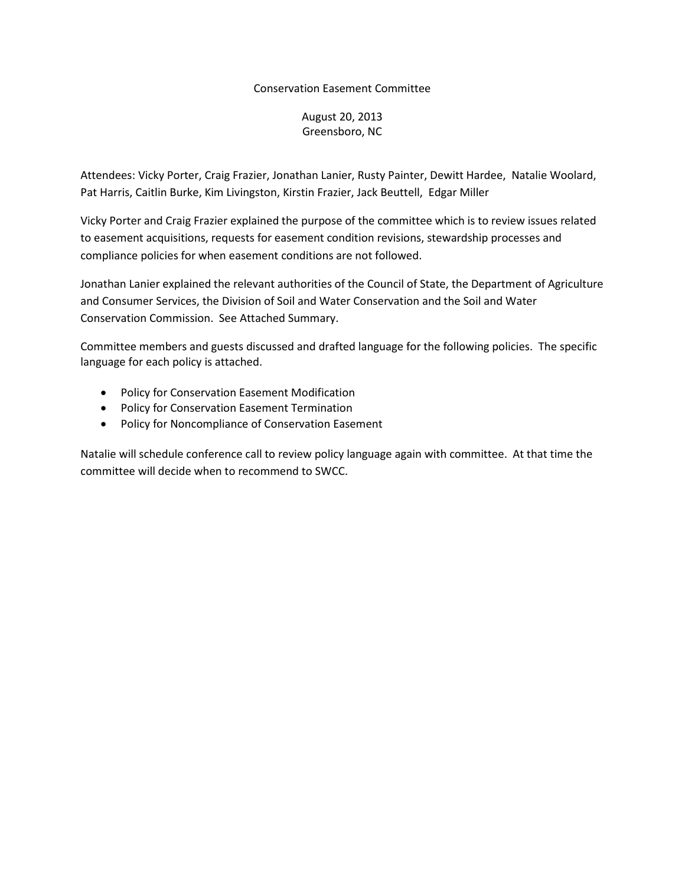## Conservation Easement Committee

# August 20, 2013 Greensboro, NC

Attendees: Vicky Porter, Craig Frazier, Jonathan Lanier, Rusty Painter, Dewitt Hardee, Natalie Woolard, Pat Harris, Caitlin Burke, Kim Livingston, Kirstin Frazier, Jack Beuttell, Edgar Miller

Vicky Porter and Craig Frazier explained the purpose of the committee which is to review issues related to easement acquisitions, requests for easement condition revisions, stewardship processes and compliance policies for when easement conditions are not followed.

Jonathan Lanier explained the relevant authorities of the Council of State, the Department of Agriculture and Consumer Services, the Division of Soil and Water Conservation and the Soil and Water Conservation Commission. See Attached Summary.

Committee members and guests discussed and drafted language for the following policies. The specific language for each policy is attached.

- Policy for Conservation Easement Modification
- Policy for Conservation Easement Termination
- Policy for Noncompliance of Conservation Easement

Natalie will schedule conference call to review policy language again with committee. At that time the committee will decide when to recommend to SWCC.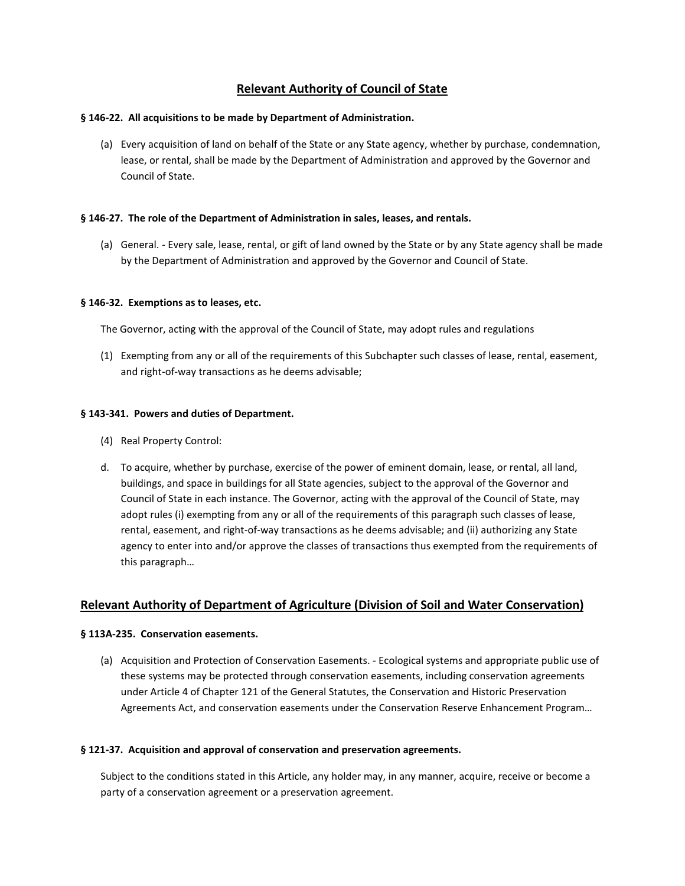# **Relevant Authority of Council of State**

### **§ 146-22. All acquisitions to be made by Department of Administration.**

(a) Every acquisition of land on behalf of the State or any State agency, whether by purchase, condemnation, lease, or rental, shall be made by the Department of Administration and approved by the Governor and Council of State.

## **§ 146-27. The role of the Department of Administration in sales, leases, and rentals.**

(a) General. - Every sale, lease, rental, or gift of land owned by the State or by any State agency shall be made by the Department of Administration and approved by the Governor and Council of State.

### **§ 146-32. Exemptions as to leases, etc.**

The Governor, acting with the approval of the Council of State, may adopt rules and regulations

(1) Exempting from any or all of the requirements of this Subchapter such classes of lease, rental, easement, and right-of-way transactions as he deems advisable;

### **§ 143-341. Powers and duties of Department.**

- (4) Real Property Control:
- d. To acquire, whether by purchase, exercise of the power of eminent domain, lease, or rental, all land, buildings, and space in buildings for all State agencies, subject to the approval of the Governor and Council of State in each instance. The Governor, acting with the approval of the Council of State, may adopt rules (i) exempting from any or all of the requirements of this paragraph such classes of lease, rental, easement, and right-of-way transactions as he deems advisable; and (ii) authorizing any State agency to enter into and/or approve the classes of transactions thus exempted from the requirements of this paragraph…

## **Relevant Authority of Department of Agriculture (Division of Soil and Water Conservation)**

## **§ 113A-235. Conservation easements.**

(a) Acquisition and Protection of Conservation Easements. - Ecological systems and appropriate public use of these systems may be protected through conservation easements, including conservation agreements under Article 4 of Chapter 121 of the General Statutes, the Conservation and Historic Preservation Agreements Act, and conservation easements under the Conservation Reserve Enhancement Program…

#### **§ 121-37. Acquisition and approval of conservation and preservation agreements.**

Subject to the conditions stated in this Article, any holder may, in any manner, acquire, receive or become a party of a conservation agreement or a preservation agreement.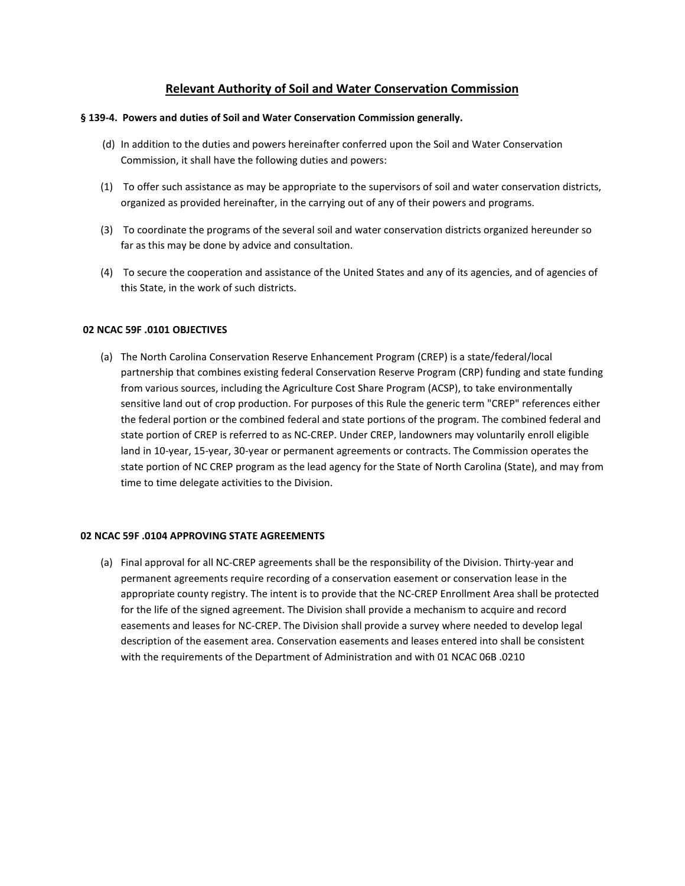# **Relevant Authority of Soil and Water Conservation Commission**

#### **§ 139-4. Powers and duties of Soil and Water Conservation Commission generally.**

- (d) In addition to the duties and powers hereinafter conferred upon the Soil and Water Conservation Commission, it shall have the following duties and powers:
- (1) To offer such assistance as may be appropriate to the supervisors of soil and water conservation districts, organized as provided hereinafter, in the carrying out of any of their powers and programs.
- (3) To coordinate the programs of the several soil and water conservation districts organized hereunder so far as this may be done by advice and consultation.
- (4) To secure the cooperation and assistance of the United States and any of its agencies, and of agencies of this State, in the work of such districts.

### **02 NCAC 59F .0101 OBJECTIVES**

(a) The North Carolina Conservation Reserve Enhancement Program (CREP) is a state/federal/local partnership that combines existing federal Conservation Reserve Program (CRP) funding and state funding from various sources, including the Agriculture Cost Share Program (ACSP), to take environmentally sensitive land out of crop production. For purposes of this Rule the generic term "CREP" references either the federal portion or the combined federal and state portions of the program. The combined federal and state portion of CREP is referred to as NC-CREP. Under CREP, landowners may voluntarily enroll eligible land in 10-year, 15-year, 30-year or permanent agreements or contracts. The Commission operates the state portion of NC CREP program as the lead agency for the State of North Carolina (State), and may from time to time delegate activities to the Division.

#### **02 NCAC 59F .0104 APPROVING STATE AGREEMENTS**

(a) Final approval for all NC-CREP agreements shall be the responsibility of the Division. Thirty-year and permanent agreements require recording of a conservation easement or conservation lease in the appropriate county registry. The intent is to provide that the NC-CREP Enrollment Area shall be protected for the life of the signed agreement. The Division shall provide a mechanism to acquire and record easements and leases for NC-CREP. The Division shall provide a survey where needed to develop legal description of the easement area. Conservation easements and leases entered into shall be consistent with the requirements of the Department of Administration and with 01 NCAC 06B .0210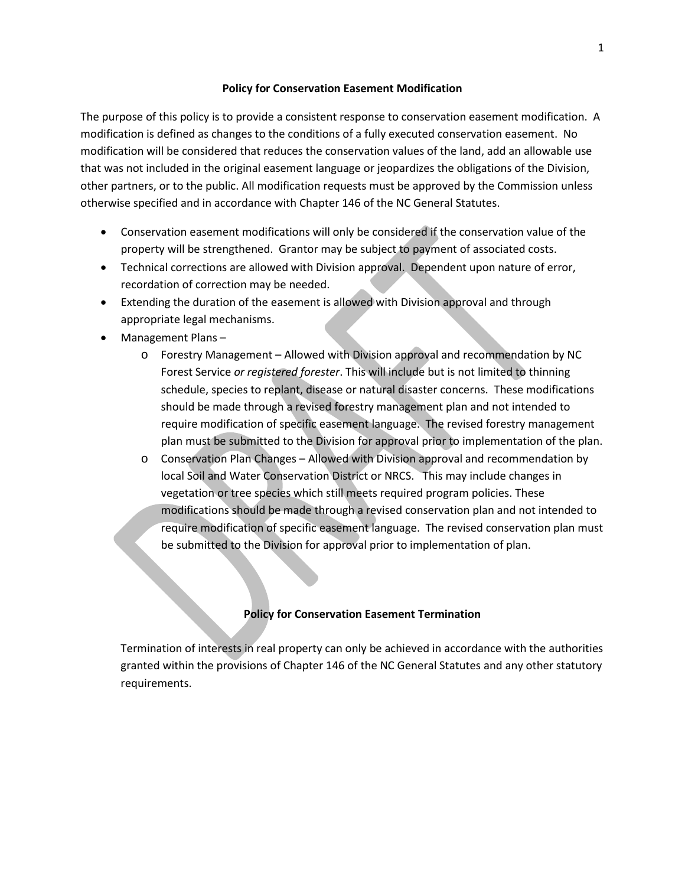## **Policy for Conservation Easement Modification**

The purpose of this policy is to provide a consistent response to conservation easement modification. A modification is defined as changes to the conditions of a fully executed conservation easement. No modification will be considered that reduces the conservation values of the land, add an allowable use that was not included in the original easement language or jeopardizes the obligations of the Division, other partners, or to the public. All modification requests must be approved by the Commission unless otherwise specified and in accordance with Chapter 146 of the NC General Statutes.

- Conservation easement modifications will only be considered if the conservation value of the property will be strengthened. Grantor may be subject to payment of associated costs.
- Technical corrections are allowed with Division approval. Dependent upon nature of error, recordation of correction may be needed.
- Extending the duration of the easement is allowed with Division approval and through appropriate legal mechanisms.
- Management Plans
	- o Forestry Management Allowed with Division approval and recommendation by NC Forest Service *or registered forester*. This will include but is not limited to thinning schedule, species to replant, disease or natural disaster concerns. These modifications should be made through a revised forestry management plan and not intended to require modification of specific easement language. The revised forestry management plan must be submitted to the Division for approval prior to implementation of the plan.
	- o Conservation Plan Changes Allowed with Division approval and recommendation by local Soil and Water Conservation District or NRCS. This may include changes in vegetation or tree species which still meets required program policies. These modifications should be made through a revised conservation plan and not intended to require modification of specific easement language. The revised conservation plan must be submitted to the Division for approval prior to implementation of plan.

## **Policy for Conservation Easement Termination**

Termination of interests in real property can only be achieved in accordance with the authorities granted within the provisions of Chapter 146 of the NC General Statutes and any other statutory requirements.